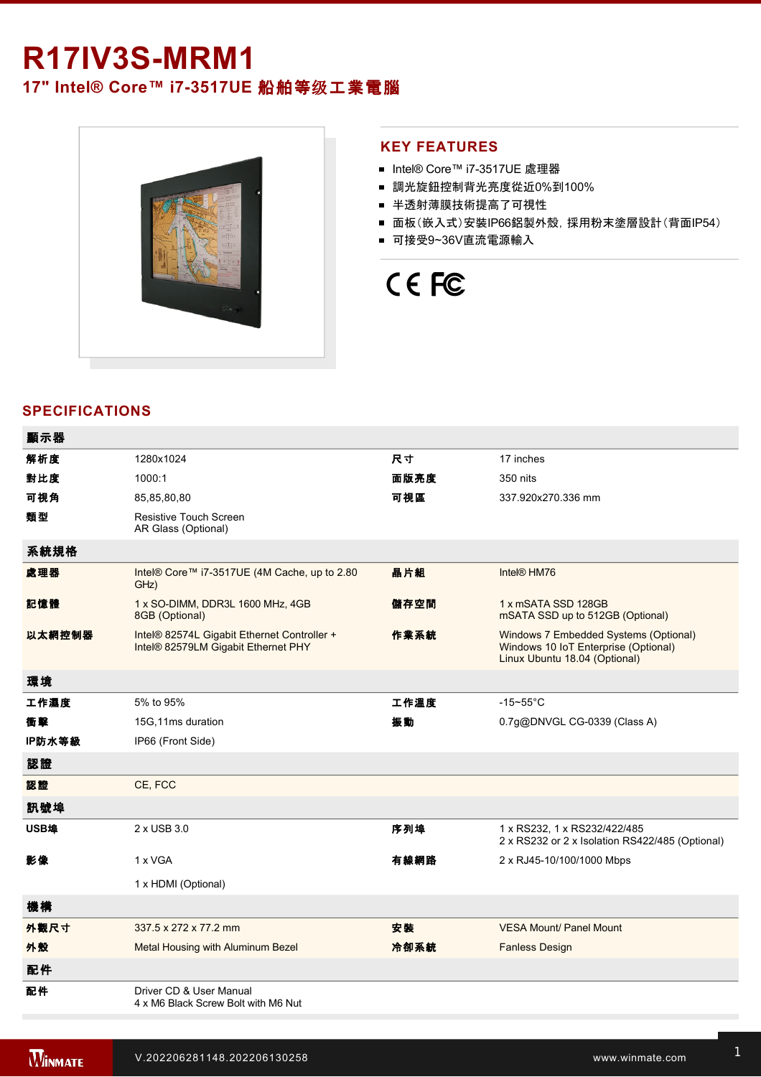# **R17IV3S-MRM1**

**17" Intel® Core™ i7-3517UE 船舶等级工業電腦** 



### **KEY FEATURES**

- Intel® Core™ i7-3517UE 處理器
- 調光旋鈕控制背光亮度從近0%到100%
- 半透射薄膜技術提高了可視性
- 面板(嵌入式)安裝IP66鋁製外殼, 採用粉末塗層設計(背面IP54)
- 可接受9~36V直流電源輸入

# CE FC

# **SPECIFICATIONS**

| 顯示器    |                                                                                    |      |                                                                                                                |
|--------|------------------------------------------------------------------------------------|------|----------------------------------------------------------------------------------------------------------------|
| 解析度    | 1280x1024                                                                          | 尺寸   | 17 inches                                                                                                      |
| 對比度    | 1000:1                                                                             | 面版亮度 | 350 nits                                                                                                       |
| 可視角    | 85,85,80,80                                                                        | 可視區  | 337.920x270.336 mm                                                                                             |
| 類型     | Resistive Touch Screen<br>AR Glass (Optional)                                      |      |                                                                                                                |
| 系統規格   |                                                                                    |      |                                                                                                                |
| 處理器    | Intel® Core™ i7-3517UE (4M Cache, up to 2.80<br>GHz)                               | 晶片組  | Intel <sup>®</sup> HM76                                                                                        |
| 記憶體    | 1 x SO-DIMM, DDR3L 1600 MHz, 4GB<br>8GB (Optional)                                 | 儲存空間 | 1 x mSATA SSD 128GB<br>mSATA SSD up to 512GB (Optional)                                                        |
| 以太網控制器 | Intel® 82574L Gigabit Ethernet Controller +<br>Intel® 82579LM Gigabit Ethernet PHY | 作業系統 | Windows 7 Embedded Systems (Optional)<br>Windows 10 IoT Enterprise (Optional)<br>Linux Ubuntu 18.04 (Optional) |
| 環境     |                                                                                    |      |                                                                                                                |
| 工作濕度   | 5% to 95%                                                                          | 工作溫度 | $-15 - 55$ °C                                                                                                  |
| 衝擊     | 15G,11ms duration                                                                  | 振動   | 0.7g@DNVGL CG-0339 (Class A)                                                                                   |
| IP防水等級 | IP66 (Front Side)                                                                  |      |                                                                                                                |
| 認證     |                                                                                    |      |                                                                                                                |
| 認證     | CE, FCC                                                                            |      |                                                                                                                |
| 訊號埠    |                                                                                    |      |                                                                                                                |
| USB埠   | 2 x USB 3.0                                                                        | 序列埠  | 1 x RS232, 1 x RS232/422/485<br>2 x RS232 or 2 x Isolation RS422/485 (Optional)                                |
| 影像     | 1 x VGA                                                                            | 有線網路 | 2 x RJ45-10/100/1000 Mbps                                                                                      |
|        | 1 x HDMI (Optional)                                                                |      |                                                                                                                |
| 機構     |                                                                                    |      |                                                                                                                |
| 外觀尺寸   | 337.5 x 272 x 77.2 mm                                                              | 安装   | <b>VESA Mount/ Panel Mount</b>                                                                                 |
| 外殼     | Metal Housing with Aluminum Bezel                                                  | 冷卻系統 | <b>Fanless Design</b>                                                                                          |
| 配件     |                                                                                    |      |                                                                                                                |
| 配件     | Driver CD & User Manual<br>4 x M6 Black Screw Bolt with M6 Nut                     |      |                                                                                                                |
|        |                                                                                    |      |                                                                                                                |